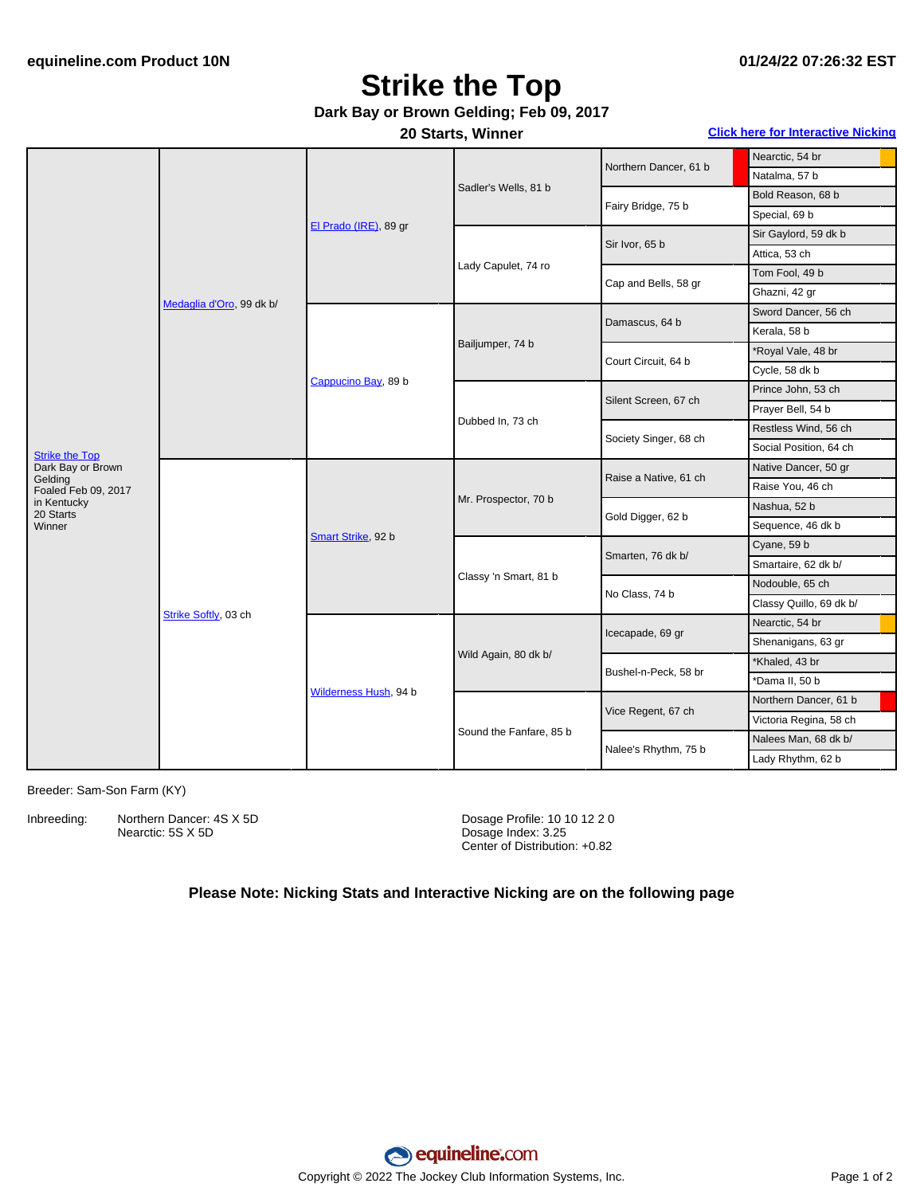## **Strike the Top**

### **Dark Bay or Brown Gelding; Feb 09, 2017**

**20 Starts, Winner Click here for [Interactive](#page-1-0) Nicking**

|                                                                              | Medaglia d'Oro, 99 dk b/ | El Prado (IRE), 89 gr | Sadler's Wells, 81 b    | Northern Dancer, 61 b | Nearctic, 54 br         |
|------------------------------------------------------------------------------|--------------------------|-----------------------|-------------------------|-----------------------|-------------------------|
|                                                                              |                          |                       |                         |                       | Natalma, 57 b           |
|                                                                              |                          |                       |                         | Fairy Bridge, 75 b    | Bold Reason, 68 b       |
|                                                                              |                          |                       |                         |                       | Special, 69 b           |
|                                                                              |                          |                       | Lady Capulet, 74 ro     | Sir Ivor, 65 b        | Sir Gaylord, 59 dk b    |
|                                                                              |                          |                       |                         |                       | Attica, 53 ch           |
|                                                                              |                          |                       |                         | Cap and Bells, 58 gr  | Tom Fool, 49 b          |
|                                                                              |                          |                       |                         |                       | Ghazni, 42 gr           |
|                                                                              |                          | Cappucino Bay, 89 b   | Bailjumper, 74 b        | Damascus, 64 b        | Sword Dancer, 56 ch     |
|                                                                              |                          |                       |                         |                       | Kerala, 58 b            |
| <b>Strike the Top</b><br>Dark Bay or Brown<br>Gelding<br>Foaled Feb 09, 2017 |                          |                       |                         | Court Circuit, 64 b   | *Royal Vale, 48 br      |
|                                                                              |                          |                       |                         |                       | Cycle, 58 dk b          |
|                                                                              |                          |                       | Dubbed In, 73 ch        | Silent Screen, 67 ch  | Prince John, 53 ch      |
|                                                                              |                          |                       |                         |                       | Prayer Bell, 54 b       |
|                                                                              |                          |                       |                         | Society Singer, 68 ch | Restless Wind, 56 ch    |
|                                                                              |                          |                       |                         |                       | Social Position, 64 ch  |
|                                                                              | Strike Softly, 03 ch     | Smart Strike, 92 b    | Mr. Prospector, 70 b    | Raise a Native, 61 ch | Native Dancer, 50 gr    |
|                                                                              |                          |                       |                         |                       | Raise You, 46 ch        |
| in Kentucky<br>20 Starts                                                     |                          |                       |                         | Gold Digger, 62 b     | Nashua, 52 b            |
| Winner                                                                       |                          |                       |                         |                       | Sequence, 46 dk b       |
|                                                                              |                          |                       | Classy 'n Smart, 81 b   | Smarten, 76 dk b/     | Cyane, 59 b             |
|                                                                              |                          |                       |                         |                       | Smartaire, 62 dk b/     |
|                                                                              |                          |                       |                         | No Class, 74 b        | Nodouble, 65 ch         |
|                                                                              |                          |                       |                         |                       | Classy Quillo, 69 dk b/ |
|                                                                              |                          | Wilderness Hush, 94 b | Wild Again, 80 dk b/    | Icecapade, 69 gr      | Nearctic, 54 br         |
|                                                                              |                          |                       |                         |                       | Shenanigans, 63 gr      |
|                                                                              |                          |                       |                         | Bushel-n-Peck, 58 br  | *Khaled, 43 br          |
|                                                                              |                          |                       |                         |                       | *Dama II, 50 b          |
|                                                                              |                          |                       | Sound the Fanfare, 85 b | Vice Regent, 67 ch    | Northern Dancer, 61 b   |
|                                                                              |                          |                       |                         |                       | Victoria Regina, 58 ch  |
|                                                                              |                          |                       |                         | Nalee's Rhythm, 75 b  | Nalees Man, 68 dk b/    |
|                                                                              |                          |                       |                         |                       | Lady Rhythm, 62 b       |
|                                                                              |                          |                       |                         |                       |                         |

Breeder: Sam-Son Farm (KY)

Inbreeding: Northern Dancer: 4S X 5D Nearctic: 5S X 5D

Dosage Profile: 10 10 12 2 0 Dosage Index: 3.25 Center of Distribution: +0.82

#### **Please Note: Nicking Stats and Interactive Nicking are on the following page**